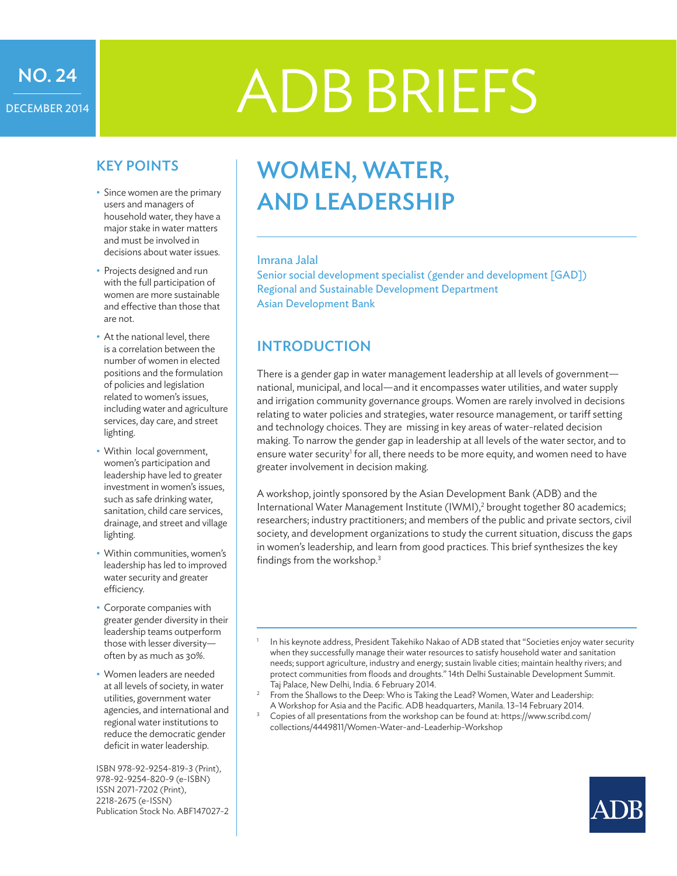# NO. 24 DECEMBER 2014

# ADB BRIEFS

## KEY POINTS

- Since women are the primary users and managers of household water, they have a major stake in water matters and must be involved in decisions about water issues.
- Projects designed and run with the full participation of women are more sustainable and effective than those that are not.
- At the national level, there is a correlation between the number of women in elected positions and the formulation of policies and legislation related to women's issues, including water and agriculture services, day care, and street lighting.
- Within local government, women's participation and leadership have led to greater investment in women's issues, such as safe drinking water, sanitation, child care services, drainage, and street and village lighting.
- • Within communities, women's leadership has led to improved water security and greater efficiency.
- • Corporate companies with greater gender diversity in their leadership teams outperform those with lesser diversity often by as much as 30%.
- • Women leaders are needed at all levels of society, in water utilities, government water agencies, and international and regional water institutions to reduce the democratic gender deficit in water leadership.

ISBN 978-92-9254-819-3 (Print), 978-92-9254-820-9 (e-ISBN) ISSN 2071-7202 (Print), 2218-2675 (e-ISSN) Publication Stock No. ABF147027-2

# WOMEN, WATER, AND LEADERSHIP

#### Imrana Jalal

Senior social development specialist (gender and development [GAD]) Regional and Sustainable Development Department Asian Development Bank

# INTRODUCTION

There is a gender gap in water management leadership at all levels of government national, municipal, and local—and it encompasses water utilities, and water supply and irrigation community governance groups. Women are rarely involved in decisions relating to water policies and strategies, water resource management, or tariff setting and technology choices. They are missing in key areas of water-related decision making. To narrow the gender gap in leadership at all levels of the water sector, and to ensure water security<sup>1</sup> for all, there needs to be more equity, and women need to have greater involvement in decision making.

A workshop, jointly sponsored by the Asian Development Bank (ADB) and the International Water Management Institute (IWMI),<sup>2</sup> brought together 80 academics; researchers; industry practitioners; and members of the public and private sectors, civil society, and development organizations to study the current situation, discuss the gaps in women's leadership, and learn from good practices. This brief synthesizes the key findings from the workshop.3

- Taj Palace, New Delhi, India. 6 February 2014.<br>From the Shallows to the Deep: Who is Taking the Lead? Women, Water and Leadership: A Workshop for Asia and the Pacific. ADB headquarters, Manila. 13–14 February 2014.
- <sup>3</sup> Copies of all presentations from the workshop can be found at: https://www.scribd.com/ collections/4449811/Women-Water-and-Leaderhip-Workshop



In his keynote address, President Takehiko Nakao of ADB stated that "Societies enjoy water security when they successfully manage their water resources to satisfy household water and sanitation needs; support agriculture, industry and energy; sustain livable cities; maintain healthy rivers; and protect communities from floods and droughts." 14th Delhi Sustainable Development Summit.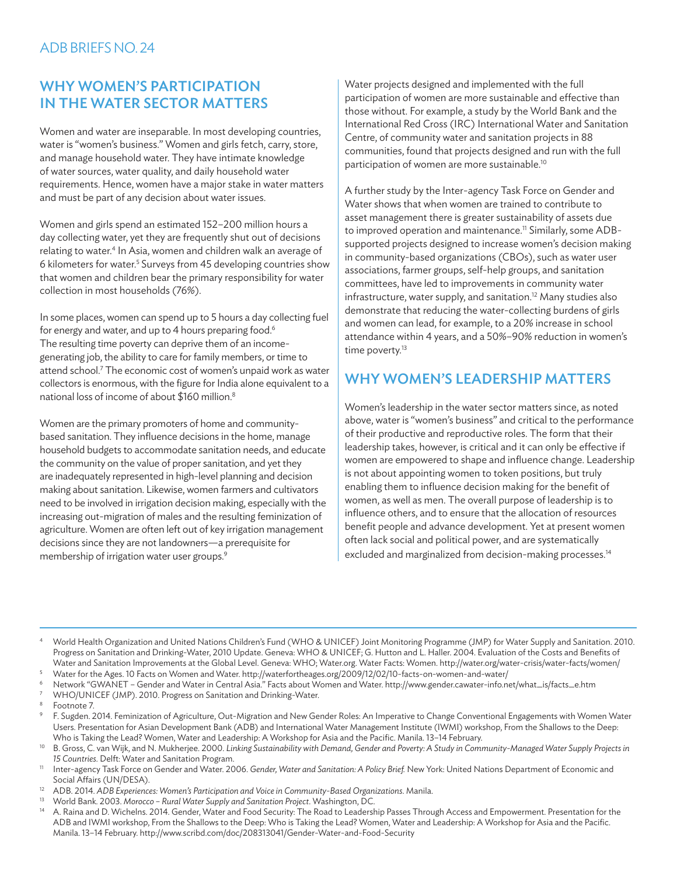# WHY WOMEN'S PARTICIPATION IN THE WATER SECTOR MATTERS

Women and water are inseparable. In most developing countries, water is "women's business." Women and girls fetch, carry, store, and manage household water. They have intimate knowledge of water sources, water quality, and daily household water requirements. Hence, women have a major stake in water matters and must be part of any decision about water issues.

Women and girls spend an estimated 152–200 million hours a day collecting water, yet they are frequently shut out of decisions relating to water.<sup>4</sup> In Asia, women and children walk an average of 6 kilometers for water.5 Surveys from 45 developing countries show that women and children bear the primary responsibility for water collection in most households (76%).

In some places, women can spend up to 5 hours a day collecting fuel for energy and water, and up to 4 hours preparing food.<sup>6</sup> The resulting time poverty can deprive them of an incomegenerating job, the ability to care for family members, or time to attend school.7 The economic cost of women's unpaid work as water collectors is enormous, with the figure for India alone equivalent to a national loss of income of about \$160 million.8

Women are the primary promoters of home and communitybased sanitation. They influence decisions in the home, manage household budgets to accommodate sanitation needs, and educate the community on the value of proper sanitation, and yet they are inadequately represented in high-level planning and decision making about sanitation. Likewise, women farmers and cultivators need to be involved in irrigation decision making, especially with the increasing out-migration of males and the resulting feminization of agriculture. Women are often left out of key irrigation management decisions since they are not landowners—a prerequisite for membership of irrigation water user groups.<sup>9</sup>

Water projects designed and implemented with the full participation of women are more sustainable and effective than those without. For example, a study by the World Bank and the International Red Cross (IRC) International Water and Sanitation Centre, of community water and sanitation projects in 88 communities, found that projects designed and run with the full participation of women are more sustainable.10

A further study by the Inter-agency Task Force on Gender and Water shows that when women are trained to contribute to asset management there is greater sustainability of assets due to improved operation and maintenance.<sup>11</sup> Similarly, some ADBsupported projects designed to increase women's decision making in community-based organizations (CBOs), such as water user associations, farmer groups, self-help groups, and sanitation committees, have led to improvements in community water infrastructure, water supply, and sanitation.<sup>12</sup> Many studies also demonstrate that reducing the water-collecting burdens of girls and women can lead, for example, to a 20% increase in school attendance within 4 years, and a 50%–90% reduction in women's time poverty.<sup>13</sup>

# WHY WOMEN'S LEADERSHIP MATTERS

Women's leadership in the water sector matters since, as noted above, water is "women's business" and critical to the performance of their productive and reproductive roles. The form that their leadership takes, however, is critical and it can only be effective if women are empowered to shape and influence change. Leadership is not about appointing women to token positions, but truly enabling them to influence decision making for the benefit of women, as well as men. The overall purpose of leadership is to influence others, and to ensure that the allocation of resources benefit people and advance development. Yet at present women often lack social and political power, and are systematically excluded and marginalized from decision-making processes.<sup>14</sup>

- <sup>4</sup> World Health Organization and United Nations Children's Fund (WHO & UNICEF) Joint Monitoring Programme (JMP) for Water Supply and Sanitation. 2010. Progress on Sanitation and Drinking-Water, 2010 Update. Geneva: WHO & UNICEF; G. Hutton and L. Haller. 2004. Evaluation of the Costs and Benefits of Water and Sanitation Improvements at the Global Level. Geneva: WHO; Water.org. Water Facts: Women. http://water.org/water-crisis/water-facts/women/
- <sup>5</sup> Water for the Ages. 10 Facts on Women and Water. http://waterfortheages.org/2009/12/02/10-facts-on-women-and-water/ <sup>6</sup> Network "GWANET – Gender and Water in Central Asia." Facts about Women and Water. http://www.gender.cawater-info.net/what\_is/facts\_e.htm
- WHO/UNICEF (JMP). 2010. Progress on Sanitation and Drinking-Water.
- Footnote 7.
- <sup>9</sup> F. Sugden. 2014. Feminization of Agriculture, Out-Migration and New Gender Roles: An Imperative to Change Conventional Engagements with Women Water Users. Presentation for Asian Development Bank (ADB) and International Water Management Institute (IWMI) workshop, From the Shallows to the Deep: Who is Taking the Lead? Women, Water and Leadership: A Workshop for Asia and the Pacific. Manila. 13–14 February.
- <sup>10</sup> B. Gross, C. van Wijk, and N. Mukherjee. 2000. Linking Sustainability with Demand, Gender and Poverty: A Study in Community-Managed Water Supply Projects in *15 Countries.* Delft: Water and Sanitation Program.
- <sup>11</sup> Inter-agency Task Force on Gender and Water. 2006. *Gender, Water and Sanitation: A Policy Brief.* New York: United Nations Department of Economic and Social Affairs (UN/DESA).
- <sup>12</sup> ADB. 2014. *ADB Experiences: Women's Participation and Voice in Community-Based Organizations*. Manila.
- <sup>13</sup> World Bank. 2003. *Morocco Rural Water Supply and Sanitation Project*. Washington, DC.
- <sup>14</sup> A. Raina and D. Wichelns. 2014. Gender, Water and Food Security: The Road to Leadership Passes Through Access and Empowerment. Presentation for the ADB and IWMI workshop, From the Shallows to the Deep: Who is Taking the Lead? Women, Water and Leadership: A Workshop for Asia and the Pacific. Manila. 13–14 February. http://www.scribd.com/doc/208313041/Gender-Water-and-Food-Security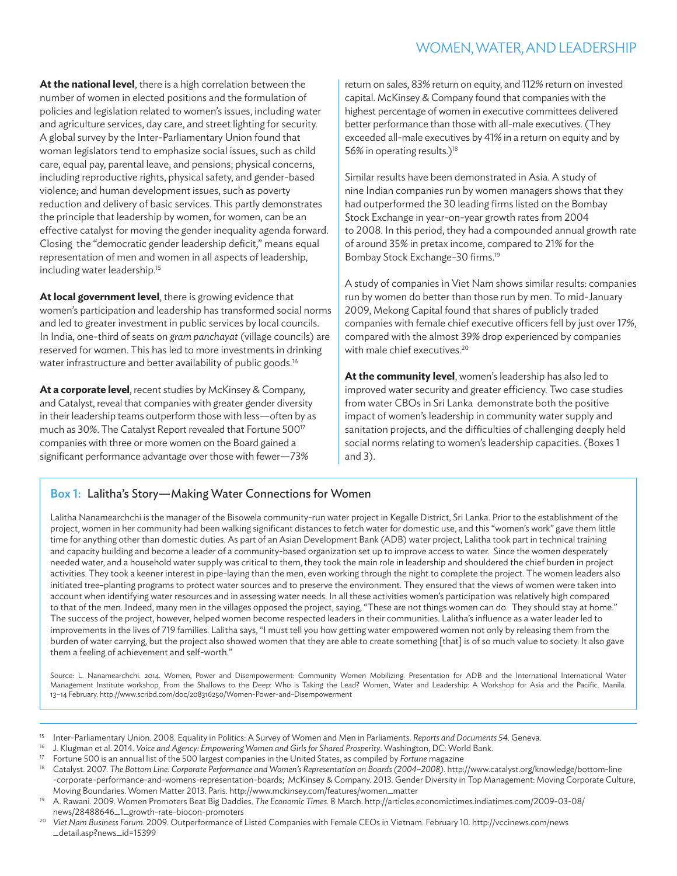# WOMEN, WATER, AND LEADERSHIP

**At the national level**, there is a high correlation between the number of women in elected positions and the formulation of policies and legislation related to women's issues, including water and agriculture services, day care, and street lighting for security. A global survey by the Inter-Parliamentary Union found that woman legislators tend to emphasize social issues, such as child care, equal pay, parental leave, and pensions; physical concerns, including reproductive rights, physical safety, and gender-based violence; and human development issues, such as poverty reduction and delivery of basic services. This partly demonstrates the principle that leadership by women, for women, can be an effective catalyst for moving the gender inequality agenda forward. Closing the "democratic gender leadership deficit," means equal representation of men and women in all aspects of leadership, including water leadership.<sup>15</sup>

**At local government level**, there is growing evidence that women's participation and leadership has transformed social norms and led to greater investment in public services by local councils. In India, one-third of seats on *gram panchayat* (village councils) are reserved for women. This has led to more investments in drinking water infrastructure and better availability of public goods.<sup>16</sup>

At a corporate level, recent studies by McKinsey & Company, and Catalyst, reveal that companies with greater gender diversity in their leadership teams outperform those with less—often by as much as 30%. The Catalyst Report revealed that Fortune 500<sup>17</sup> companies with three or more women on the Board gained a significant performance advantage over those with fewer—73%

return on sales, 83% return on equity, and 112% return on invested capital. McKinsey & Company found that companies with the highest percentage of women in executive committees delivered better performance than those with all-male executives. (They exceeded all-male executives by 41% in a return on equity and by 56% in operating results.)<sup>18</sup>

Similar results have been demonstrated in Asia. A study of nine Indian companies run by women managers shows that they had outperformed the 30 leading firms listed on the Bombay Stock Exchange in year-on-year growth rates from 2004 to 2008. In this period, they had a compounded annual growth rate of around 35% in pretax income, compared to 21% for the Bombay Stock Exchange-30 firms.19

A study of companies in Viet Nam shows similar results: companies run by women do better than those run by men. To mid-January 2009, Mekong Capital found that shares of publicly traded companies with female chief executive officers fell by just over 17%, compared with the almost 39% drop experienced by companies with male chief executives.<sup>20</sup>

**At the community level**, women's leadership has also led to improved water security and greater efficiency. Two case studies from water CBOs in Sri Lanka demonstrate both the positive impact of women's leadership in community water supply and sanitation projects, and the difficulties of challenging deeply held social norms relating to women's leadership capacities. (Boxes 1 and 3).

#### Box 1: Lalitha's Story—Making Water Connections for Women

Lalitha Nanamearchchi is the manager of the Bisowela community-run water project in Kegalle District, Sri Lanka. Prior to the establishment of the project, women in her community had been walking significant distances to fetch water for domestic use, and this "women's work" gave them little time for anything other than domestic duties. As part of an Asian Development Bank (ADB) water project, Lalitha took part in technical training and capacity building and become a leader of a community-based organization set up to improve access to water. Since the women desperately needed water, and a household water supply was critical to them, they took the main role in leadership and shouldered the chief burden in project activities. They took a keener interest in pipe-laying than the men, even working through the night to complete the project. The women leaders also initiated tree-planting programs to protect water sources and to preserve the environment. They ensured that the views of women were taken into account when identifying water resources and in assessing water needs. In all these activities women's participation was relatively high compared to that of the men. Indeed, many men in the villages opposed the project, saying, "These are not things women can do. They should stay at home." The success of the project, however, helped women become respected leaders in their communities. Lalitha's influence as a water leader led to improvements in the lives of 719 families. Lalitha says, "I must tell you how getting water empowered women not only by releasing them from the burden of water carrying, but the project also showed women that they are able to create something [that] is of so much value to society. It also gave them a feeling of achievement and self-worth."

Source: L. Nanamearchchi. 2014. Women, Power and Disempowerment: Community Women Mobilizing. Presentation for ADB and the International International Water Management Institute workshop, From the Shallows to the Deep: Who is Taking the Lead? Women, Water and Leadership: A Workshop for Asia and the Pacific. Manila. 13–14 February. http://www.scribd.com/doc/208316250/Women-Power-and-Disempowerment

- <sup>15</sup> Inter-Parliamentary Union. 2008. Equality in Politics: A Survey of Women and Men in Parliaments. *Reports and Documents 54*. Geneva.
- <sup>16</sup> J. Klugman et al. 2014. *Voice and Agency: Empowering Women and Girls for Shared Prosperity*. Washington, DC: World Bank.
- <sup>17</sup> Fortune 500 is an annual list of the 500 largest companies in the United States, as compiled by *Fortune* magazine
- <sup>18</sup> Catalyst. 2007. *The Bottom Line: Corporate Performance and Women's Representation on Boards (2004–2008).* http://www.catalyst.org/knowledge/bottom-line -corporate-performance-and-womens-representation-boards; McKinsey & Company. 2013. Gender Diversity in Top Management: Moving Corporate Culture, Moving Boundaries. Women Matter 2013. Paris. http://www.mckinsey.com/features/women\_matter
- <sup>19</sup> A. Rawani. 2009. Women Promoters Beat Big Daddies. *The Economic Times.* 8 March. http://articles.economictimes.indiatimes.com/2009-03-08/ news/28488646\_1\_growth-rate-biocon-promoters
- <sup>20</sup> *Viet Nam Business Forum.* 2009. Outperformance of Listed Companies with Female CEOs in Vietnam. February 10. http://vccinews.com/news \_detail.asp?news\_id=15399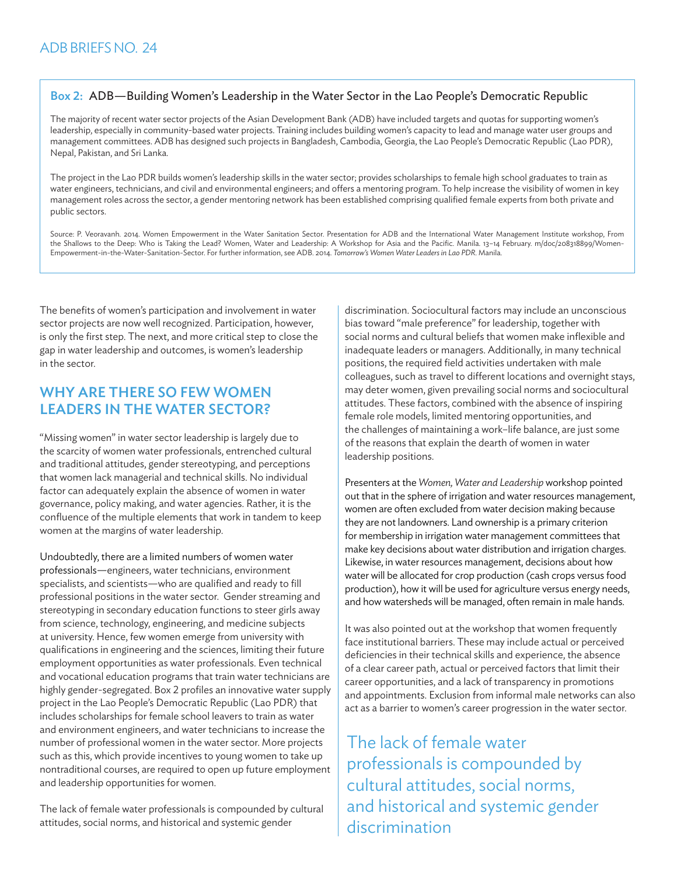#### Box 2: ADB—Building Women's Leadership in the Water Sector in the Lao People's Democratic Republic

The majority of recent water sector projects of the Asian Development Bank (ADB) have included targets and quotas for supporting women's leadership, especially in community-based water projects. Training includes building women's capacity to lead and manage water user groups and management committees. ADB has designed such projects in Bangladesh, Cambodia, Georgia, the Lao People's Democratic Republic (Lao PDR), Nepal, Pakistan, and Sri Lanka.

The project in the Lao PDR builds women's leadership skills in the water sector; provides scholarships to female high school graduates to train as water engineers, technicians, and civil and environmental engineers; and offers a mentoring program. To help increase the visibility of women in key management roles across the sector, a gender mentoring network has been established comprising qualified female experts from both private and public sectors.

Source: P. Veoravanh. 2014. Women Empowerment in the Water Sanitation Sector. Presentation for ADB and the International Water Management Institute workshop, From the Shallows to the Deep: Who is Taking the Lead? Women, Water and Leadership: A Workshop for Asia and the Pacific. Manila. 13–14 February. m/doc/208318899/Women-Empowerment-in-the-Water-Sanitation-Sector. For further information, see ADB. 2014. *Tomorrow's Women Water Leaders in Lao PDR*. Manila.

The benefits of women's participation and involvement in water sector projects are now well recognized. Participation, however, is only the first step. The next, and more critical step to close the gap in water leadership and outcomes, is women's leadership in the sector.

# WHY ARE THERE SO FEW WOMEN LEADERS IN THE WATER SECTOR?

"Missing women" in water sector leadership is largely due to the scarcity of women water professionals, entrenched cultural and traditional attitudes, gender stereotyping, and perceptions that women lack managerial and technical skills. No individual factor can adequately explain the absence of women in water governance, policy making, and water agencies. Rather, it is the confluence of the multiple elements that work in tandem to keep women at the margins of water leadership.

Undoubtedly, there are a limited numbers of women water professionals—engineers, water technicians, environment specialists, and scientists—who are qualified and ready to fill professional positions in the water sector. Gender streaming and stereotyping in secondary education functions to steer girls away from science, technology, engineering, and medicine subjects at university. Hence, few women emerge from university with qualifications in engineering and the sciences, limiting their future employment opportunities as water professionals. Even technical and vocational education programs that train water technicians are highly gender-segregated. Box 2 profiles an innovative water supply project in the Lao People's Democratic Republic (Lao PDR) that includes scholarships for female school leavers to train as water and environment engineers, and water technicians to increase the number of professional women in the water sector. More projects such as this, which provide incentives to young women to take up nontraditional courses, are required to open up future employment and leadership opportunities for women.

The lack of female water professionals is compounded by cultural attitudes, social norms, and historical and systemic gender

discrimination. Sociocultural factors may include an unconscious bias toward "male preference" for leadership, together with social norms and cultural beliefs that women make inflexible and inadequate leaders or managers. Additionally, in many technical positions, the required field activities undertaken with male colleagues, such as travel to different locations and overnight stays, may deter women, given prevailing social norms and sociocultural attitudes. These factors, combined with the absence of inspiring female role models, limited mentoring opportunities, and the challenges of maintaining a work–life balance, are just some of the reasons that explain the dearth of women in water leadership positions.

Presenters at the *Women, Water and Leadership* workshop pointed out that in the sphere of irrigation and water resources management, women are often excluded from water decision making because they are not landowners. Land ownership is a primary criterion for membership in irrigation water management committees that make key decisions about water distribution and irrigation charges. Likewise, in water resources management, decisions about how water will be allocated for crop production (cash crops versus food production), how it will be used for agriculture versus energy needs, and how watersheds will be managed, often remain in male hands.

It was also pointed out at the workshop that women frequently face institutional barriers. These may include actual or perceived deficiencies in their technical skills and experience, the absence of a clear career path, actual or perceived factors that limit their career opportunities, and a lack of transparency in promotions and appointments. Exclusion from informal male networks can also act as a barrier to women's career progression in the water sector.

The lack of female water professionals is compounded by cultural attitudes, social norms, and historical and systemic gender discrimination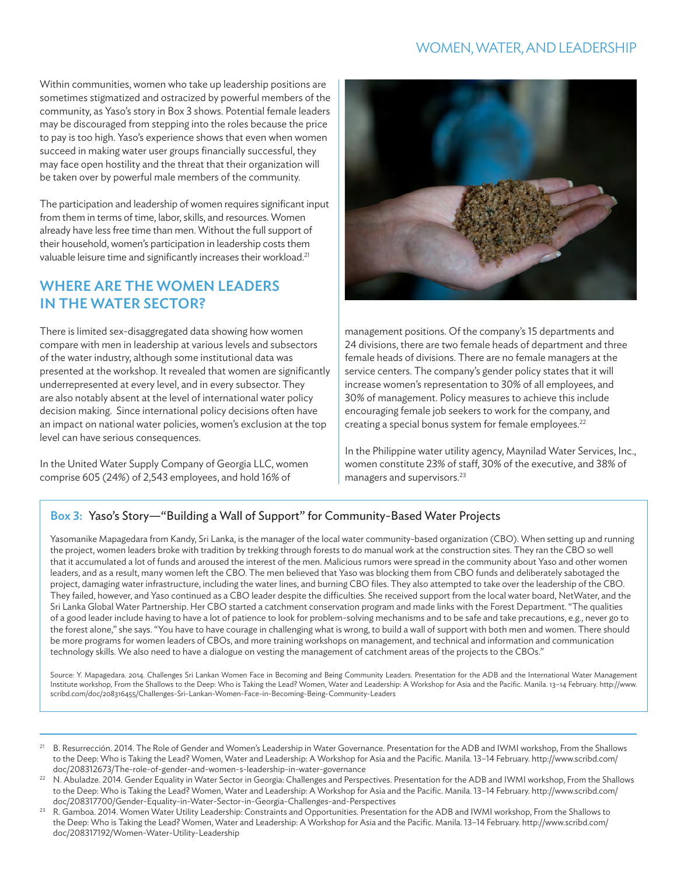# WOMEN, WATER, AND LEADERSHIP

Within communities, women who take up leadership positions are sometimes stigmatized and ostracized by powerful members of the community, as Yaso's story in Box 3 shows. Potential female leaders may be discouraged from stepping into the roles because the price to pay is too high. Yaso's experience shows that even when women succeed in making water user groups financially successful, they may face open hostility and the threat that their organization will be taken over by powerful male members of the community.

The participation and leadership of women requires significant input from them in terms of time, labor, skills, and resources. Women already have less free time than men. Without the full support of their household, women's participation in leadership costs them valuable leisure time and significantly increases their workload.<sup>21</sup>

### WHERE ARE THE WOMEN LEADERS IN THE WATER SECTOR?

There is limited sex-disaggregated data showing how women compare with men in leadership at various levels and subsectors of the water industry, although some institutional data was presented at the workshop. It revealed that women are significantly underrepresented at every level, and in every subsector. They are also notably absent at the level of international water policy decision making. Since international policy decisions often have an impact on national water policies, women's exclusion at the top level can have serious consequences.

In the United Water Supply Company of Georgia LLC, women comprise 605 (24%) of 2,543 employees, and hold 16% of



management positions. Of the company's 15 departments and 24 divisions, there are two female heads of department and three female heads of divisions. There are no female managers at the service centers. The company's gender policy states that it will increase women's representation to 30% of all employees, and 30% of management. Policy measures to achieve this include encouraging female job seekers to work for the company, and creating a special bonus system for female employees.<sup>22</sup>

In the Philippine water utility agency, Maynilad Water Services, Inc., women constitute 23% of staff, 30% of the executive, and 38% of managers and supervisors.<sup>23</sup>

#### Box 3: Yaso's Story-"Building a Wall of Support" for Community-Based Water Projects

Yasomanike Mapagedara from Kandy, Sri Lanka, is the manager of the local water community-based organization (CBO). When setting up and running the project, women leaders broke with tradition by trekking through forests to do manual work at the construction sites. They ran the CBO so well that it accumulated a lot of funds and aroused the interest of the men. Malicious rumors were spread in the community about Yaso and other women leaders, and as a result, many women left the CBO. The men believed that Yaso was blocking them from CBO funds and deliberately sabotaged the project, damaging water infrastructure, including the water lines, and burning CBO files. They also attempted to take over the leadership of the CBO. They failed, however, and Yaso continued as a CBO leader despite the difficulties. She received support from the local water board, NetWater, and the Sri Lanka Global Water Partnership. Her CBO started a catchment conservation program and made links with the Forest Department. "The qualities of a good leader include having to have a lot of patience to look for problem-solving mechanisms and to be safe and take precautions, e.g., never go to the forest alone," she says. "You have to have courage in challenging what is wrong, to build a wall of support with both men and women. There should be more programs for women leaders of CBOs, and more training workshops on management, and technical and information and communication technology skills. We also need to have a dialogue on vesting the management of catchment areas of the projects to the CBOs."

Source: Y. Mapagedara. 2014. Challenges Sri Lankan Women Face in Becoming and Being Community Leaders. Presentation for the ADB and the International Water Management Institute workshop, From the Shallows to the Deep: Who is Taking the Lead? Women, Water and Leadership: A Workshop for Asia and the Pacific. Manila. 13–14 February. http://www. scribd.com/doc/208316455/Challenges-Sri-Lankan-Women-Face-in-Becoming-Being-Community-Leaders

- <sup>21</sup> B. Resurrección. 2014. The Role of Gender and Women's Leadership in Water Governance. Presentation for the ADB and IWMI workshop, From the Shallows to the Deep: Who is Taking the Lead? Women, Water and Leadership: A Workshop for Asia and the Pacific. Manila. 13–14 February. http://www.scribd.com/ doc/208312673/The-role-of-gender-and-women-s-leadership-in-water-governance
- <sup>22</sup> N. Abuladze. 2014. Gender Equality in Water Sector in Georgia: Challenges and Perspectives. Presentation for the ADB and IWMI workshop, From the Shallows to the Deep: Who is Taking the Lead? Women, Water and Leadership: A Workshop for Asia and the Pacific. Manila. 13–14 February. http://www.scribd.com/ doc/208317700/Gender-Equality-in-Water-Sector-in-Georgia-Challenges-and-Perspectives
- <sup>23</sup> R. Gamboa. 2014. Women Water Utility Leadership: Constraints and Opportunities. Presentation for the ADB and IWMI workshop, From the Shallows to the Deep: Who is Taking the Lead? Women, Water and Leadership: A Workshop for Asia and the Pacific. Manila. 13–14 February. http://www.scribd.com/ doc/208317192/Women-Water-Utility-Leadership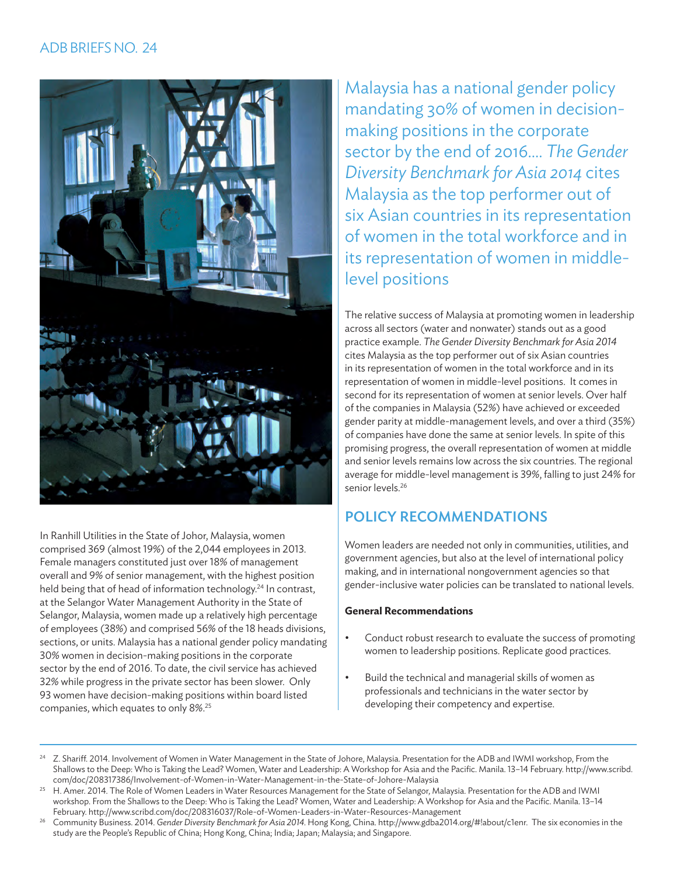# ADB BRIEFS NO. 24



In Ranhill Utilities in the State of Johor, Malaysia, women comprised 369 (almost 19%) of the 2,044 employees in 2013. Female managers constituted just over 18% of management overall and 9% of senior management, with the highest position held being that of head of information technology.<sup>24</sup> In contrast, at the Selangor Water Management Authority in the State of Selangor, Malaysia, women made up a relatively high percentage of employees (38%) and comprised 56% of the 18 heads divisions, sections, or units. Malaysia has a national gender policy mandating 30% women in decision-making positions in the corporate sector by the end of 2016. To date, the civil service has achieved 32% while progress in the private sector has been slower. Only 93 women have decision-making positions within board listed companies, which equates to only 8%.25

Malaysia has a national gender policy mandating 30% of women in decisionmaking positions in the corporate sector by the end of 2016.... *The Gender Diversity Benchmark for Asia 2014* cites Malaysia as the top performer out of six Asian countries in its representation of women in the total workforce and in its representation of women in middlelevel positions

The relative success of Malaysia at promoting women in leadership across all sectors (water and nonwater) stands out as a good practice example. *The Gender Diversity Benchmark for Asia 2014* cites Malaysia as the top performer out of six Asian countries in its representation of women in the total workforce and in its representation of women in middle-level positions. It comes in second for its representation of women at senior levels. Over half of the companies in Malaysia (52%) have achieved or exceeded gender parity at middle-management levels, and over a third (35%) of companies have done the same at senior levels. In spite of this promising progress, the overall representation of women at middle and senior levels remains low across the six countries. The regional average for middle-level management is 39%, falling to just 24% for senior levels.<sup>26</sup>

# POLICY RECOMMENDATIONS

Women leaders are needed not only in communities, utilities, and government agencies, but also at the level of international policy making, and in international nongovernment agencies so that gender-inclusive water policies can be translated to national levels.

#### **General Recommendations**

- Conduct robust research to evaluate the success of promoting women to leadership positions. Replicate good practices.
- • Build the technical and managerial skills of women as professionals and technicians in the water sector by developing their competency and expertise.
- <sup>24</sup> Z. Shariff. 2014. Involvement of Women in Water Management in the State of Johore, Malaysia. Presentation for the ADB and IWMI workshop, From the Shallows to the Deep: Who is Taking the Lead? Women, Water and Leadership: A Workshop for Asia and the Pacific. Manila. 13–14 February. http://www.scribd. com/doc/208317386/Involvement-of-Women-in-Water-Management-in-the-State-of-Johore-Malaysia
- <sup>25</sup> H. Amer. 2014. The Role of Women Leaders in Water Resources Management for the State of Selangor, Malaysia. Presentation for the ADB and IWMI workshop. From the Shallows to the Deep: Who is Taking the Lead? Women, Water and Leadership: A Workshop for Asia and the Pacific. Manila. 13–14 February. http://www.scribd.com/doc/208316037/Role-of-Women-Leaders-in-Water-Resources-Management
- <sup>26</sup> Community Business. 2014. Gender Diversity Benchmark for Asia 2014. Hong Kong, China. http://www.gdba2014.org/#labout/c1enr. The six economies in the study are the People's Republic of China; Hong Kong, China; India; Japan; Malaysia; and Singapore.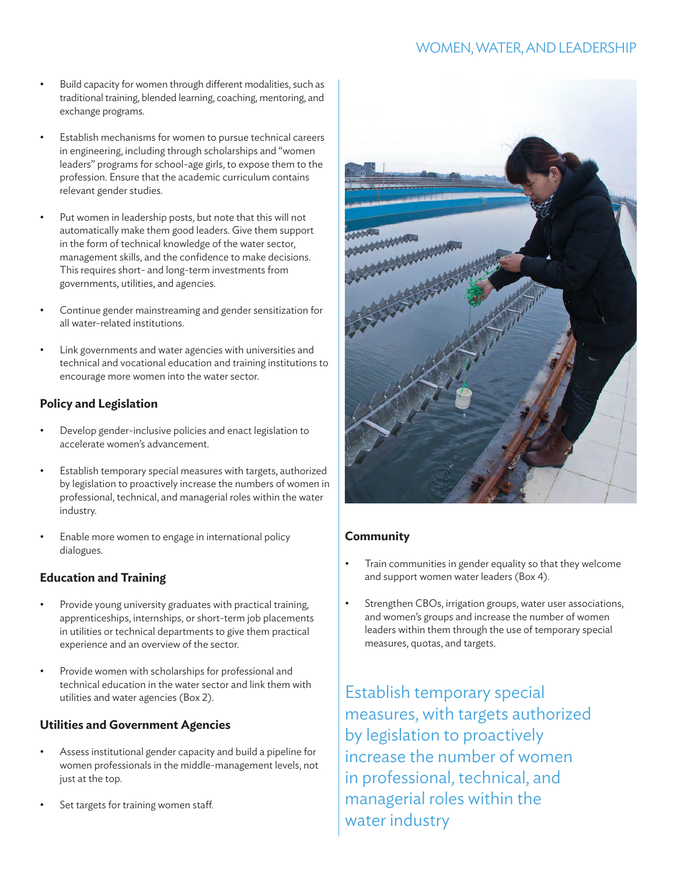# WOMEN, WATER, AND LEADERSHIP

- Build capacity for women through different modalities, such as traditional training, blended learning, coaching, mentoring, and exchange programs.
- Establish mechanisms for women to pursue technical careers in engineering, including through scholarships and "women leaders" programs for school-age girls, to expose them to the profession. Ensure that the academic curriculum contains relevant gender studies.
- Put women in leadership posts, but note that this will not automatically make them good leaders. Give them support in the form of technical knowledge of the water sector, management skills, and the confidence to make decisions. This requires short- and long-term investments from governments, utilities, and agencies.
- Continue gender mainstreaming and gender sensitization for all water-related institutions.
- Link governments and water agencies with universities and technical and vocational education and training institutions to encourage more women into the water sector.

#### **Policy and Legislation**

- Develop gender-inclusive policies and enact legislation to accelerate women's advancement.
- Establish temporary special measures with targets, authorized by legislation to proactively increase the numbers of women in professional, technical, and managerial roles within the water industry.
- Enable more women to engage in international policy dialogues.

#### **Education and Training**

- Provide young university graduates with practical training, apprenticeships, internships, or short-term job placements in utilities or technical departments to give them practical experience and an overview of the sector.
- Provide women with scholarships for professional and technical education in the water sector and link them with utilities and water agencies (Box 2).

#### **Utilities and Government Agencies**

- Assess institutional gender capacity and build a pipeline for women professionals in the middle-management levels, not just at the top.
- Set targets for training women staff.



#### **Community**

- • Train communities in gender equality so that they welcome and support women water leaders (Box 4).
- • Strengthen CBOs, irrigation groups, water user associations, and women's groups and increase the number of women leaders within them through the use of temporary special measures, quotas, and targets.

Establish temporary special measures, with targets authorized by legislation to proactively increase the number of women in professional, technical, and managerial roles within the water industry